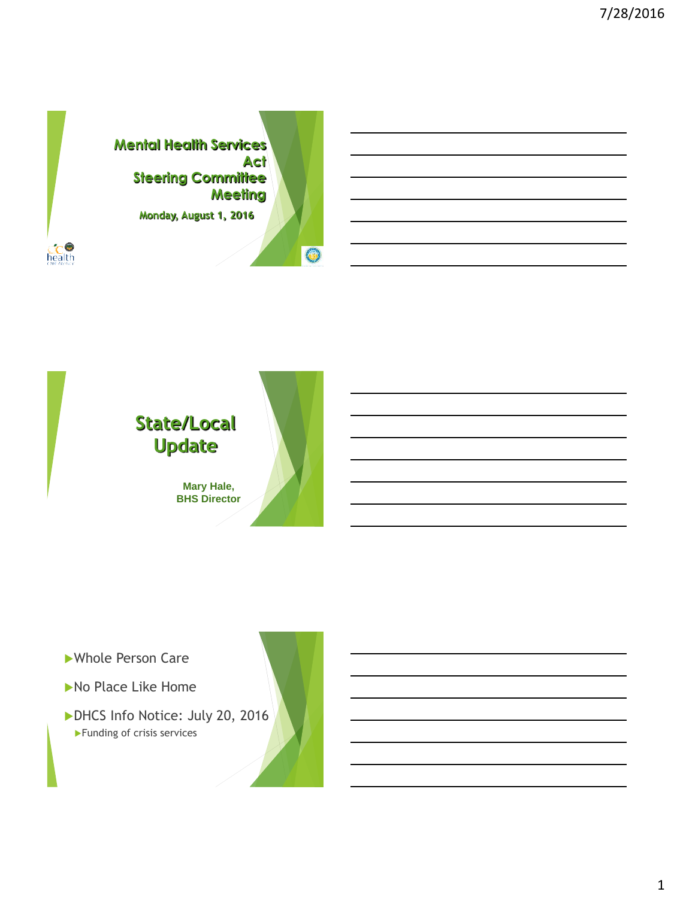



- Whole Person Care
- No Place Like Home
- DHCS Info Notice: July 20, 2016 Funding of crisis services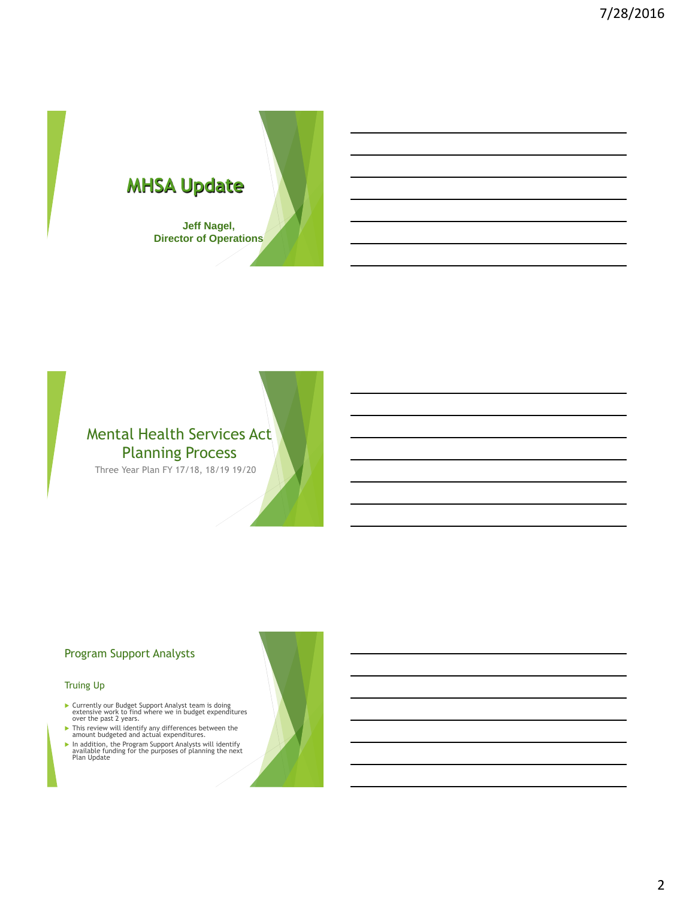



Three Year Plan FY 17/18, 18/19 19/20

### Program Support Analysts

#### Truing Up

- Currently our Budget Support Analyst team is doing extensive work to find where we in budget expenditures over the past 2 years.
- 
- **Finis review will identify any differences between the<br>amount budgeted and actual expenditures.<br>
Fin addition, the Program Support Analysts will identify<br>
available funding for the purposes of planning the next<br>
Plan Upd**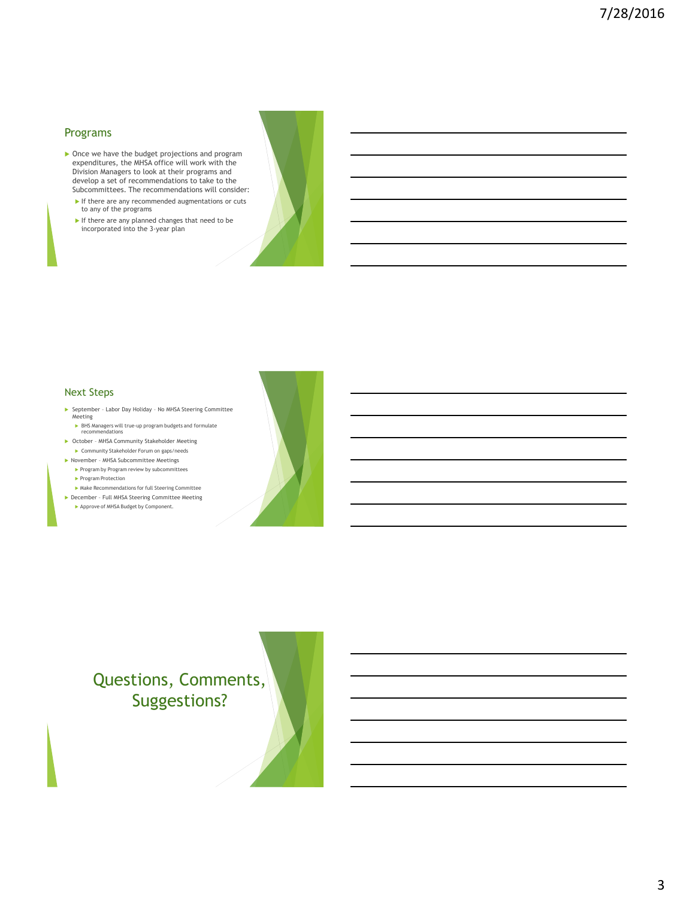#### Programs

- ▶ Once we have the budget projections and program expenditures, the MHSA office will work with the Division Managers to look at their programs and develop a set of recommendations to take to the Subcommittees. The recommendations will consider:
	- $\blacktriangleright$  If there are any recommended augmentations or cuts to any of the programs
	- If there are any planned changes that need to be incorporated into the 3-year plan



#### Next Steps

- ▶ September Labor Day Holiday No MHSA Steering Committee Meeting BHS Managers will true-up program budgets and formulate
- recommendations October – MHSA Community Stakeholder Meeting
- Community Stakeholder Forum on gaps/needs
- November MHSA Subcommittee Meetings Program by Program review by subcommittees
	- Program Protection
- Make Recommendations for full Steering Committee December – Full MHSA Steering Committee Meeting
	- Approve of MHSA Budget by Component.



# Questions, Comments, Suggestions?